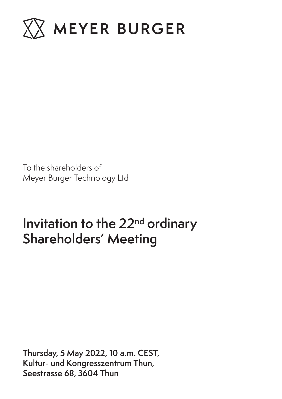

To the shareholders of Meyer Burger Technology Ltd

# **Invitation to the 22nd ordinary Shareholders' Meeting**

**Thursday, 5 May 2022, 10 a.m. CEST, Kultur- und Kongresszentrum Thun, Seestrasse 68, 3604 Thun**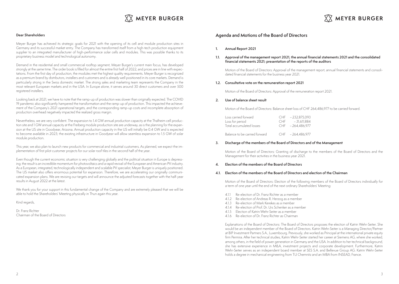

## $\overline{\text{XX}}$  MEYER BURGER

## **Dear Shareholders**

Meyer Burger has achieved its strategic goals for 2021 with the opening of its cell and module production sites in Germany and its successful market entry. The Company has transformed itself from a high-tech production equipment supplier to an integrated manufacturer of high-performance solar cells and modules. This was possible thanks to its proprietary business model and technological autonomy.

Demand in the residential and small commercial rooftop segment, Meyer Burger's current main focus, has developed strongly at the same time. The order book is filled for almost the entire first half of 2022, and prices are in line with expectations. From the first day of production, the modules met the highest quality requirements. Meyer Burger is recognized as a premium brand by distributors, installers and customers and is already well positioned in its core markets. Demand is particularly strong in the Swiss domestic market. The strong sales and marketing team represents the Company in the most relevant European markets and in the USA. In Europe alone, it serves around 30 direct customers and over 500 registered installers.

Looking back at 2021, we have to note that the ramp-up of production was slower than originally expected. The COVID 19 pandemic also significantly hampered the transformation and the ramp-up of production. This impacted the achievement of the Company's 2021 operational targets, and the corresponding ramp-up costs and incomplete absorption of production overhead negatively impacted the realized gross margin.

Nevertheless, we are very confident. The expansion to 1.4 GW annual production capacity at the Thalheim cell production site and 1 GW annual capacity at the Freiberg module production site are underway, as is the planning for the expansion at the US site in Goodyear, Arizona. Annual production capacity in the US will initially be 0.4 GW and is expected to become available in 2023; the existing infrastructure in Goodyear will allow seamless expansion to 1.5 GW of solar module production.

This year, we also plan to launch new products for commercial and industrial customers. As planned, we expect the implementation of first pilot customer projects for our solar roof tiles in the second half of the year.

Even though the current economic situation is very challenging globally and the political situation in Europe is depressing: the result is an incredible momentum for photovoltaics and a rapid revival of the European and American PV industry. As a European, integrated, technologically independent and scalable PV specialist, Meyer Burger is uniquely positioned. The US market also offers enormous potential for expansion. Therefore, we are accelerating our originally communicated expansion plans. We are revising our targets and will announce the adjusted forecasts together with the half-year results in August 2022 at the latest.

We thank you for your support in this fundamental change of the Company and are extremely pleased that we will be able to hold the Shareholders' Meeting physically in Thun again this year.

Kind regards,

Dr. Franz Richter Chairman of the Board of Directors

## **Agenda and Motions of the Board of Directors**

- **1. Annual Report 2021**
- **1.1. Approval of the management report 2021, the annual financial statements 2021 and the consolidated financial statements 2021; presentation of the reports of the auditors**

Motion of the Board of Directors: Approval of the management report, annual financial statements and consolidated financial statements for the business year 2021.

#### **1.2. Consultative vote on the remuneration report 2021**

Motion of the Board of Directors: Approval of the remuneration report 2021.

## **2. Use of balance sheet result**

Motion of the Board of Directors: Balance sheet loss of CHF 264,486,977 to be carried forward.

| Loss carried forward          | CHF - 232.875.093 |
|-------------------------------|-------------------|
| Loss for period               | CHF - 31.611.884  |
| Total accumulated losses      | CHF - 264,486,977 |
|                               |                   |
| Balance to be carried forward | CHF - 264.486.977 |

#### **3. Discharge of the members of the Board of Directors and of the Management**

Motion of the Board of Directors: Granting of discharge to the members of the Board of Directors and the Management for their activities in the business year 2021.

## **4. Election of the members of the Board of Directors**

#### **4.1. Election of the members of the Board of Directors and election of the Chairman**

Motion of the Board of Directors: Election of the following members of the Board of Directors individually for a term of one year until the end of the next ordinary Shareholders' Meeting:

- 4.1.1 Re-election of Dr. Franz Richter as a member
- 4.1.2 Re-election of Andreas R. Herzog as a member
- 4.1.3 Re-election of Mark Kerekes as a member
- 4.1.4 Re-election of Prof. Dr. Urs Schenker as a member
- 4.1.5 Election of Katrin Wehr-Seiter as a member
- 4.1.6 Re-election of Dr. Franz Richter as Chairman

Explanations of the Board of Directors: The Board of Directors proposes the election of Katrin Wehr-Seiter. She would be an independent member of the Board of Directors. Katrin Wehr-Seiter is a Managing Director/Partner at BIP Investment Partners S.A., Luxembourg. Previously, she worked as Principal at the international private equity firm Permira. After her technical studies, Katrin Wehr-Seiter started her career at Siemens AG, where she worked, among others, in the field of power generation in Germany and the USA. In addition to her technical background, she has extensive experience in M&A, investment projects and corporate development. Furthermore, Katrin Wehr-Seiter serves as an independent board member at SES S.A. and Bellevue Group AG. Katrin Wehr-Seiter holds a degree in mechanical engineering from TU Chemnitz and an MBA from INSEAD, France.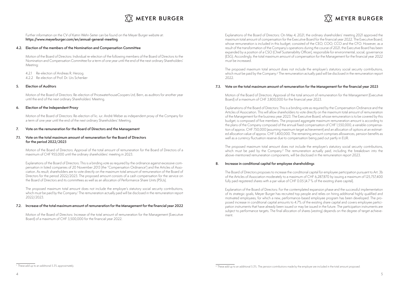## $\overline{\text{XX}}$  MEYER BURGER

## **MEYER BURGER**

Further information on the CV of Katrin Wehr-Seiter can be found on the Meyer Burger website at: **https://www.meyerburger.com/en/annual-general-meeting**

## **4.2. Election of the members of the Nomination and Compensation Committee**

Motion of the Board of Directors: Individual re-election of the following members of the Board of Directors to the Nomination and Compensation Committee for a term of one year until the end of the next ordinary Shareholders' Meeting:

4.2.1 Re-election of Andreas R. Herzog

4.2.2 Re-election of Prof. Dr. Urs Schenker

## **5. Election of Auditors**

Motion of the Board of Directors: Re-election of PricewaterhouseCoopers Ltd, Bern, as auditors for another year until the end of the next ordinary Shareholders' Meeting.

## **6. Election of the Independent Proxy**

Motion of the Board of Directors: Re-election of lic. iur. André Weber as independent proxy of the Company for a term of one year until the end of the next ordinary Shareholders' Meeting.

## **7. Vote on the remuneration for the Board of Directors and the Management**

## **7.1. Vote on the total maximum amount of remuneration for the Board of Directors for the period 2022/2023**

Motion of the Board of Directors: Approval of the total amount of remuneration for the Board of Directors of a maximum of CHF 955,000 until the ordinary shareholders' meeting in 2023.

Explanations of the Board of Directors: This is a binding vote as required by the ordinance against excessive compensation in listed companies of 20 November 2013 (the "Compensation Ordinance") and the Articles of Association. As result, shareholders are to vote directly on the maximum total amount of remuneration of the Board of Directors for the period 2022/2023. The proposed amount consists of a cash compensation for the service on the Board of Directors and its committees as well as an allocation of Performance Share Units (PSUs).

The proposed maximum total amount does not include the employer's statutory social security contributions, which must be paid by the Company.1 The remuneration actually paid will be disclosed in the remuneration report 2022/2023.

## **7.2. Increase of the total maximum amount of remuneration for the Management for the financial year 2022**

Motion of the Board of Directors: Increase of the total amount of remuneration for the Management (Executive Board) of a maximum of CHF 3,500,000 for the financial year 2022.

Explanations of the Board of Directors: On May 4, 2021, the ordinary shareholders' meeting 2021 approved the maximum total amount of compensation for the Executive Board for the financial year 2022. The Executive Board, whose remuneration is included in this budget, consisted of the CEO, COO, CCO and the CFO. However, as a result of the transformation of the Company's operations during the course of 2021, the Executive Board has been expanded by a position of a CSO (Chief Sustainability Officer), responsible for environmental, social, governance (ESG). Accordingly, the total maximum amount of compensation for the Management for the financial year 2022 must be increased.

The proposed maximum total amount does not include the employer's statutory social security contributions, which must be paid by the Company.2 The remuneration actually paid will be disclosed in the remuneration report 2022.

## **7.3. Vote on the total maximum amount of remuneration for the Management for the financial year 2023**

Motion of the Board of Directors: Approval of the total amount of remuneration for the Management (Executive Board) of a maximum of CHF 3,800,000 for the financial year 2023.

Explanations of the Board of Directors: This is a binding vote as required by the Compensation Ordinance and the Articles of Association. This will allow shareholders to vote directly on the maximum total amount of remuneration of the Management for the business year 2023. The Executive Board, whose remuneration is to be covered by this budget, is composed of five members. The proposed aggregate maximum remuneration amount is according to the plans of the Company composed of the annual fixed compensation of CHF 1,550,000, a variable compensation of approx. CHF 750,000 (assuming maximum target achievement) and an allocation of options at an estimated allocation value of approx. CHF 1,400,000. The remaining amount comprises allowances, pension benefits as well as a currency fluctuation reserve due to compensation being paid out partly in EUR.

The proposed maximum total amount does not include the employer's statutory social security contributions, which must be paid by the Company.<sup>2</sup> The remuneration actually paid, including the breakdown into the above-mentioned remuneration components, will be disclosed in the remuneration report 2023.

## **8. Increase in conditional capital for employee shareholdings**

The Board of Directors proposes to increase the conditional capital for employee participation pursuant to Art. 3b of the Articles of Association moderately to a maximum of CHF 6,287,870 by issuing a maximum of 125,757,400 fully paid registered shares with a par value of CHF 0.05 (4.7 % of the existing share capital).

Explanation of the Board of Directors: For the contemplated expansion phase and the successful implementation of its strategic goals, Meyer Burger has recruited top people and relies on hiring additional highly qualified and motivated employees, for which a new, performance-based employee program has been developed. The proposed increase in conditional capital amounts to 4.7% of the existing share capital and covers employee participation instruments that have already been issued or may be issued in the future. The participation instruments are subject to performance targets. The final allocation of shares (vesting) depends on the degree of target achievement.

<sup>&</sup>lt;sup>1</sup> These add up to an additional 5.3% approximately.

<sup>2</sup> These add up to an additional 5.3%. The pension contributions made by the employer are included in the total amount proposed.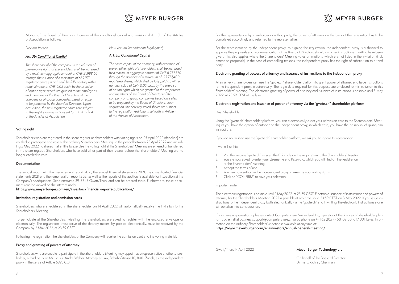

Motion of the Board of Directors: Increase of the conditional capital and revision of Art. 3b of the Articles of Association as follows:

Previous Version

### New Version (amendments highlighted)

Art. 3b: Conditional Capital

## Art. 3b: Conditional Capital

The share capital of the company, with exclusion of pre-emptive rights of shareholders, shall be increased by a maximum aggregate amount of CHF 31,998.60 through the issuance of a maximum of 639,972 registered shares, which shall be fully paid-in, with a nominal value of CHF 0.05 each, by the exercise of option rights which are granted to the employees and members of the Board of Directors of the company or of group companies based on a plan to be prepared by the Board of Directors. Upon acquisition, the new registered shares are subject to the registration restrictions set forth in Article 4 of the Articles of Association.

The share capital of the company, with exclusion of pre-emptive rights of shareholders, shall be increased by a maximum aggregate amount of CHF 6,287,870 through the issuance of a maximum of 125,757,400 registered shares, which shall be fully paid-in, with a nominal value of CHF 0.05 each, by the exercise of option rights which are granted to the employees and members of the Board of Directors of the company or of group companies based on a plan to be prepared by the Board of Directors. Upon acquisition, the new registered shares are subject to the registration restrictions set forth in Article 4 of the Articles of Association.

## **Voting right**

Shareholders who are registered in the share register as shareholders with voting rights on 25 April 2022 (deadline) are entitled to participate and vote at the ordinary Shareholders' Meeting. In the period between 25 April 2022 and including 5 May 2022 no shares that entitle to exercise the voting right at the Shareholders' Meeting are entered or transferred in the share register. Shareholders who have sold all or part of their shares before the Shareholders' Meeting are no longer entitled to vote.

### **Documentation**

The annual report with the management report 2021, the annual financial statements 2021, the consolidated financial statements 2021 and the remuneration report 2021 as well as the reports of the auditors is available for inspection at the Company's headquarters, Schorenstrasse 39, 3645 Gwatt/Thun, and can be ordered there. Furthermore, these documents can be viewed on the internet under:

**https://www.meyerburger.com/en/investors/financial-reports-publications/**

#### **Invitation, registration and admission cards**

Shareholders who are registered in the share register on 14 April 2022 will automatically receive the invitation to the Shareholders' Meeting.

To participate at the Shareholders' Meeting, the shareholders are asked to register with the enclosed envelope or electronically. The registration, irrespective of the delivery means, by post or electronically, must be received by the Company by 2 May 2022, at 23:59 CEST.

Following the registration the shareholders of the Company will receive the admission card and the voting material.

## **Proxy and granting of powers of attorney**

Shareholders who are unable to participate in the Shareholders' Meeting may appoint as a representative another shareholder, a third party or Mr. lic. iur. André Weber, Attorney at Law, Bahnhofstrasse 10, 8001 Zurich, as the independent proxy in the sense of Article 689c CO.

For the representation by shareholder or a third party, the power of attorney on the back of the registration has to be completed accordingly and returned to the representative.

 $\overline{\text{XX}}$  MEYER BURGER

For the representation by the independent proxy, by signing the registration, the independent proxy is authorized to approve the proposals and recommendation of the Board of Directors, should no other instructions in writing have been given. This also applies where the Shareholders' Meeting votes on motions, which are not listed in the invitation (incl. amended proposals). In the case of compelling reasons, the independent proxy has the right of substitution to a third party.

### **Electronic granting of powers of attorney and issuance of instructions to the independent proxy**

Alternatively, shareholders can use the "gvote.ch" shareholder platform to grant power of attorney and issue instructions to the independent proxy electronically. The login data required for this purpose are enclosed to this invitation to this Shareholders' Meeting. The electronic granting of power of attorney and issuance of instructions is possible until 3 May 2022, at 23:59 CEST at the latest.

#### **Electronic registration and issuance of power of attorney via the "gvote.ch" shareholder platform**

#### Dear Shareholder

Using the "gvote.ch" shareholder platform, you can electronically order your admission card to the Shareholders' Meeting or you have the option of authorizing the independent proxy, in which case, you have the possibility of giving him instructions.

If you do not wish to use the "gvote.ch" shareholder platform, we ask you to ignore this description.

### It works like this:

- 1. Visit the website "gvote.ch" or scan the QR code on the registration to the Shareholders' Meeting.
- 2. You are now asked to enter your Username and Password, which you will find on the registration to the Shareholders' Meeting.
- 3. Accept the terms of use.
- 4. You can now authorize the independent proxy to exercise your voting rights.
- 5. Click on "CONFIRM" to save your selection.

### Important note:

The electronic registration is possible until 2 May 2022, at 23:59 CEST. Electronic issuance of instructions and powers of attorney for the Shareholders' Meeting 2022 is possible at any time up to 23:59 CEST on 3 May 2022. If you issue instructions to the independent proxy both electronically via the "gvote.ch" and in writing, the electronic instructions alone will be taken into consideration.

If you have any questions, please contact Computershare Switzerland Ltd, operator of the "gvote.ch" shareholder platform, by email at business.support@computershare.ch or by phone on +41 62 205 77 50 (08:00 to 17:00). Latest information on the ordinary Shareholders' Meeting is available at any time at: **https://www.meyerburger.com/en/investors/annual-general-meeting/**

## Gwatt/Thun, 14 April 2022 **Meyer Burger Technology Ltd**

On behalf of the Board of Directors: Dr. Franz Richter, Chairman